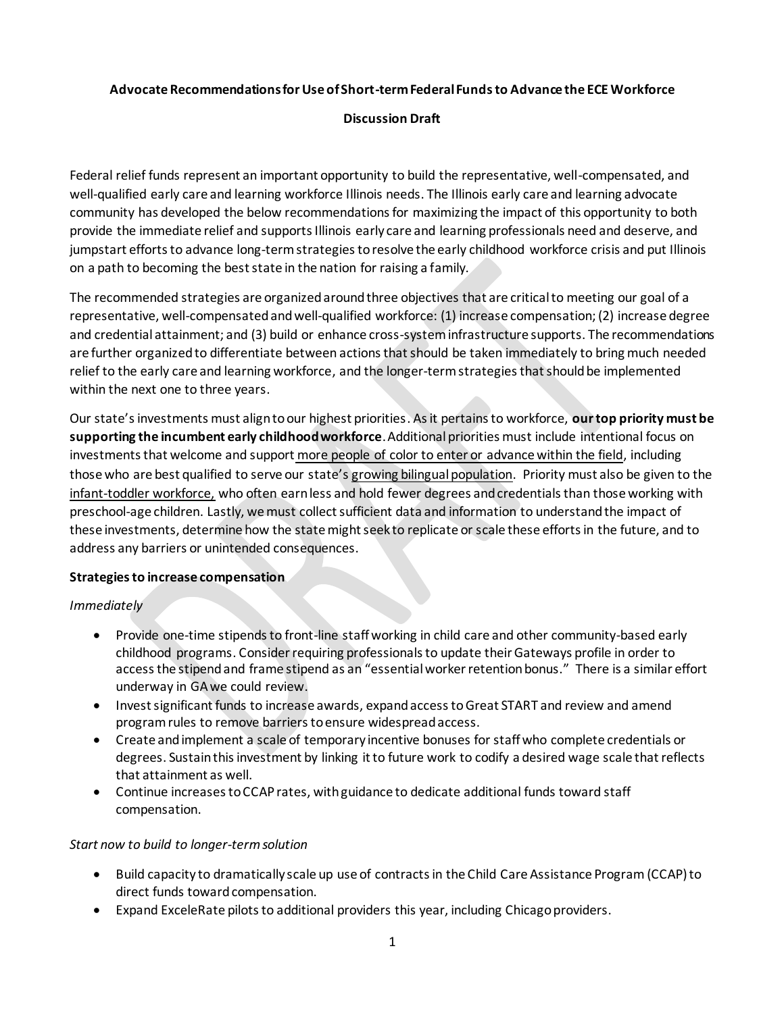### **Advocate Recommendations for Use of Short-term Federal Funds to Advance the ECE Workforce**

## **Discussion Draft**

Federal relief funds represent an important opportunity to build the representative, well-compensated, and well-qualified early care and learning workforce Illinois needs. The Illinois early care and learning advocate community has developed the below recommendations for maximizing the impact of this opportunity to both provide the immediate relief and supports Illinois early care and learning professionals need and deserve, and jumpstart efforts to advance long-term strategies to resolve the early childhood workforce crisis and put Illinois on a path to becoming the best state in the nation for raising a family.

The recommended strategies are organized around three objectives that are critical to meeting our goal of a representative, well-compensated and well-qualified workforce: (1) increase compensation; (2) increase degree and credential attainment; and (3) build or enhance cross-system infrastructure supports. The recommendations are further organized to differentiate between actions that should be taken immediately to bring much needed relief to the early care and learning workforce, and the longer-termstrategiesthat should be implemented within the next one to three years.

Our state's investments must align to our highest priorities. As it pertains to workforce, **our top priority must be supporting the incumbent early childhood workforce**. Additional priorities must include intentional focus on investments that welcome and support more people of color to enter or advance within the field, including those who are best qualified to serve our state's growing bilingual population. Priority must also be given to the infant-toddler workforce, who often earn less and hold fewer degrees and credentials than those working with preschool-age children. Lastly, we must collect sufficient data and information to understand the impact of these investments, determine how the state might seek to replicate or scale these efforts in the future, and to address any barriers or unintended consequences.

# **Strategies to increase compensation**

*Immediately*

- Provide one-time stipends to front-line staffworking in child care and other community-based early childhood programs. Consider requiring professionals to update their Gateways profile in order to access the stipendand frame stipend as an "essential worker retention bonus." There is a similar effort underway in GA we could review.
- Invest significant funds to increase awards, expand access toGreat START and review and amend program rules to remove barrierstoensure widespread access.
- Create and implement a scale of temporary incentive bonuses for staff who complete credentials or degrees. Sustain this investment by linking it to future work to codify a desired wage scale that reflects that attainment as well.
- Continue increases to CCAP rates, with guidance to dedicate additional funds toward staff compensation.

#### *Start now to build to longer-termsolution*

- Build capacity to dramatically scale up use of contracts in the Child Care Assistance Program (CCAP)to direct funds toward compensation.
- Expand ExceleRate pilots to additional providers this year, including Chicago providers.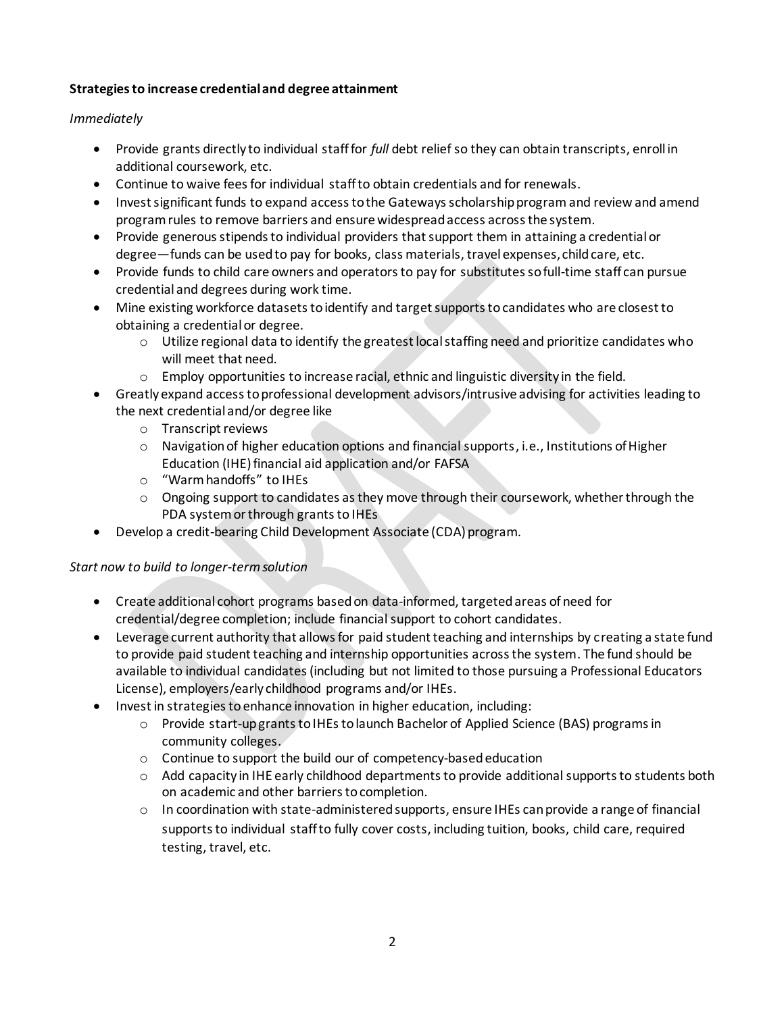# **Strategies to increase credential and degree attainment**

# *Immediately*

- Provide grants directly to individual stafffor *full* debt relief so they can obtain transcripts, enroll in additional coursework, etc.
- Continue to waive fees for individual staff to obtain credentials and for renewals.
- Invest significant funds to expand access to the Gateways scholarship program and review and amend program rules to remove barriers and ensure widespread access across the system.
- Provide generous stipends to individual providers that support them in attaining a credential or degree—funds can be used to pay for books, class materials, travel expenses, child care, etc.
- Provide funds to child care owners and operators to pay for substitutes so full-time staff can pursue credential and degrees during work time.
- Mine existing workforce datasets to identify and target supports to candidates who are closest to obtaining a credential or degree.
	- o Utilize regional data to identify the greatest local staffing need and prioritize candidates who will meet that need.
	- $\circ$  Employ opportunities to increase racial, ethnic and linguistic diversity in the field.
- Greatly expand access to professional development advisors/intrusive advising for activities leading to the next credential and/or degree like
	- o Transcript reviews
	- $\circ$  Navigation of higher education options and financial supports, i.e., Institutions of Higher Education (IHE) financial aid application and/or FAFSA
	- o "Warm handoffs" to IHEs
	- $\circ$  Ongoing support to candidates as they move through their coursework, whether through the PDA system or through grants to IHEs
- Develop a credit-bearing Child Development Associate (CDA) program.

# *Start now to build to longer-termsolution*

- Create additional cohort programs based on data-informed, targeted areas of need for credential/degree completion; include financial support to cohort candidates.
- Leverage current authority that allows for paid student teaching and internships by creating a state fund to provide paid student teaching and internship opportunities across the system. The fund should be available to individual candidates(including but not limited to those pursuing a Professional Educators License), employers/early childhood programs and/or IHEs.
- Invest in strategies to enhance innovation in higher education, including:
	- o Provide start-up grants to IHEs to launch Bachelor of Applied Science (BAS) programs in community colleges.
	- o Continue to support the build our of competency-basededucation
	- $\circ$  Add capacity in IHE early childhood departments to provide additional supports to students both on academic and other barriers to completion.
	- $\circ$  In coordination with state-administered supports, ensure IHEs can provide a range of financial supports to individual staff to fully cover costs, including tuition, books, child care, required testing, travel, etc.